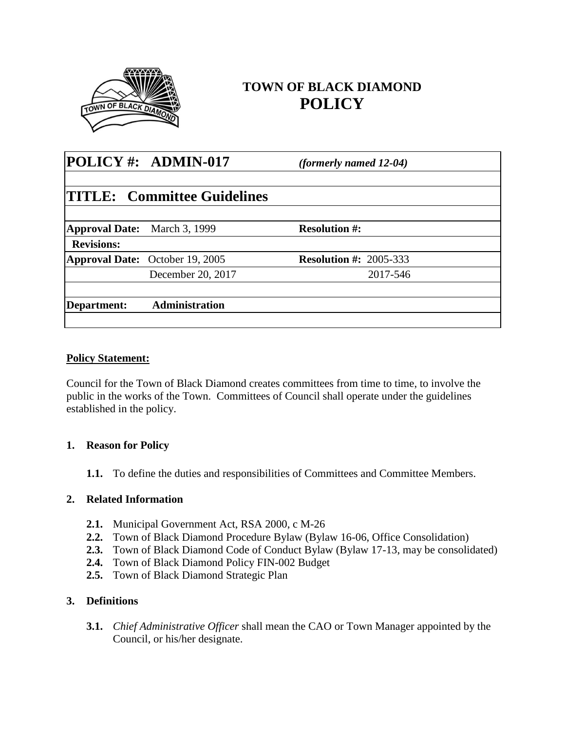

# **TOWN OF BLACK DIAMOND POLICY**

| (formerly named $12-04$ )     |
|-------------------------------|
|                               |
| <b>Resolution #:</b>          |
|                               |
| <b>Resolution #: 2005-333</b> |
| 2017-546                      |
|                               |
|                               |

# **Policy Statement:**

Council for the Town of Black Diamond creates committees from time to time, to involve the public in the works of the Town. Committees of Council shall operate under the guidelines established in the policy.

## **1. Reason for Policy**

**1.1.** To define the duties and responsibilities of Committees and Committee Members.

## **2. Related Information**

- **2.1.** Municipal Government Act, RSA 2000, c M-26
- **2.2.** Town of Black Diamond Procedure Bylaw (Bylaw 16-06, Office Consolidation)
- **2.3.** Town of Black Diamond Code of Conduct Bylaw (Bylaw 17-13, may be consolidated)
- **2.4.** Town of Black Diamond Policy FIN-002 Budget
- **2.5.** Town of Black Diamond Strategic Plan

## **3. Definitions**

**3.1.** *Chief Administrative Officer* shall mean the CAO or Town Manager appointed by the Council, or his/her designate.